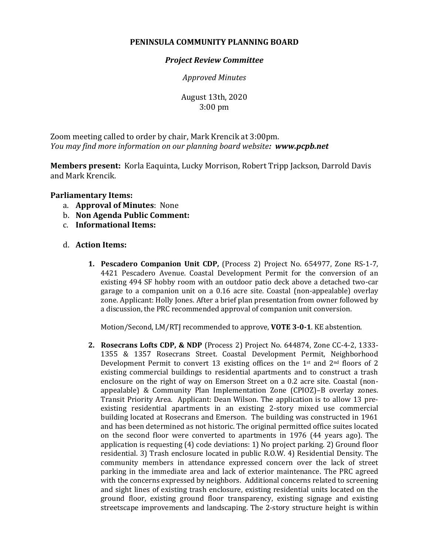## **PENINSULA COMMUNITY PLANNING BOARD**

## *Project Review Committee*

*Approved Minutes*

August 13th, 2020 3:00 pm

Zoom meeting called to order by chair, Mark Krencik at 3:00pm. *You may find more information on our planning board website: www.pcpb.net*

**Members present:** Korla Eaquinta, Lucky Morrison, Robert Tripp Jackson, Darrold Davis and Mark Krencik.

## **Parliamentary Items:**

- a. **Approval of Minutes**: None
- b. **Non Agenda Public Comment:**
- c. **Informational Items:**
- d. **Action Items:**
	- **1. Pescadero Companion Unit CDP,** (Process 2) Project No. 654977, Zone RS-1-7, 4421 Pescadero Avenue. Coastal Development Permit for the conversion of an existing 494 SF hobby room with an outdoor patio deck above a detached two-car garage to a companion unit on a 0.16 acre site. Coastal (non-appealable) overlay zone. Applicant: Holly Jones. After a brief plan presentation from owner followed by a discussion, the PRC recommended approval of companion unit conversion.

Motion/Second, LM/RTJ recommended to approve, **VOTE 3-0-1**. KE abstention.

**2. Rosecrans Lofts CDP, & NDP** (Process 2) Project No. 644874, Zone CC-4-2, 1333- 1355 & 1357 Rosecrans Street. Coastal Development Permit, Neighborhood Development Permit to convert 13 existing offices on the 1<sup>st</sup> and  $2<sup>nd</sup>$  floors of 2 existing commercial buildings to residential apartments and to construct a trash enclosure on the right of way on Emerson Street on a 0.2 acre site. Coastal (nonappealable) & Community Plan Implementation Zone (CPIOZ)–B overlay zones. Transit Priority Area. Applicant: Dean Wilson. The application is to allow 13 preexisting residential apartments in an existing 2-story mixed use commercial building located at Rosecrans and Emerson. The building was constructed in 1961 and has been determined as not historic. The original permitted office suites located on the second floor were converted to apartments in 1976 (44 years ago). The application is requesting (4) code deviations: 1) No project parking. 2) Ground floor residential. 3) Trash enclosure located in public R.O.W. 4) Residential Density. The community members in attendance expressed concern over the lack of street parking in the immediate area and lack of exterior maintenance. The PRC agreed with the concerns expressed by neighbors. Additional concerns related to screening and sight lines of existing trash enclosure, existing residential units located on the ground floor, existing ground floor transparency, existing signage and existing streetscape improvements and landscaping. The 2-story structure height is within